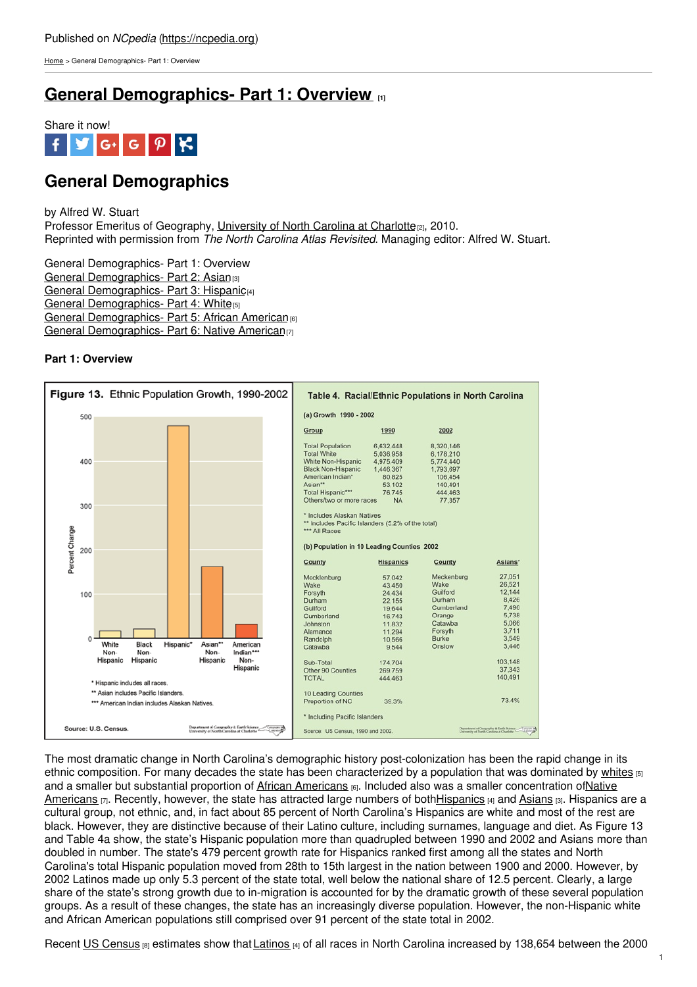[Home](https://ncpedia.org/) > General Demographics- Part 1: Overview

## **General [Demographics-](https://ncpedia.org/general-demographics-part-1) Part 1: Overview [1]**



# **General Demographics**

by Alfred W. Stuart Professor Emeritus of Geography, [University](https://geoearth.charlotte.edu/) of North Carolina at Charlotte<sub>[2]</sub>, 2010. Reprinted with permission from *The North Carolina Atlas Revisited*. Managing editor: Alfred W. Stuart.

General Demographics- Part 1: Overview General [Demographics-](https://ncpedia.org/general-demographics-part-2-asian) Part 2: Asian [3] General [Demographics-](https://ncpedia.org/general-demographics-part-3) Part 3: Hispanic<sup>[4]</sup> General [Demographics-](https://ncpedia.org/general-demographics-part-4-white) Part 4: White<sup>[5]</sup> General [Demographics-](https://ncpedia.org/general-demographics-part-5-african) Part 5: African [American](http://www.social9.com)<sup>[6]</sup> General [Demographics-](https://ncpedia.org/general-demographics-part-6-native) Part 6: Native American<sub>[7]</sub>

## **Part 1: Overview**



The most dramatic change in North Carolina's demographic history post-colonization has been the rapid change in its ethnic composition. For many decades the state has been characterized by a population that was dominated by [whites](https://ncpedia.org/general-demographics-part-4-white) [5] and a smaller but substantial proportion of African [Americans](https://ncpedia.org/general-demographics-part-5-african) [6]. Included also was a smaller [concentration](https://ncpedia.org/general-demographics-part-6-native) ofNative Americans [7]. Recently, however, the state has attracted large numbers of bot[hHispanics](https://ncpedia.org/general-demographics-part-3) [4] and [Asians](https://ncpedia.org/general-demographics-part-2-asian) [3]. Hispanics are a cultural group, not ethnic, and, in fact about 85 percent of North Carolina's Hispanics are white and most of the rest are black. However, they are distinctive because of their Latino culture, including surnames, language and diet. As Figure 13 and Table 4a show, the state's Hispanic population more than quadrupled between 1990 and 2002 and Asians more than doubled in number. The state's 479 percent growth rate for Hispanics ranked first among all the states and North Carolina's total Hispanic population moved from 28th to 15th largest in the nation between 1900 and 2000. However, by 2002 Latinos made up only 5.3 percent of the state total, well below the national share of 12.5 percent. Clearly, a large share of the state's strong growth due to in-migration is accounted for by the dramatic growth of these several population groups. As a result of these changes, the state has an increasingly diverse population. However, the non-Hispanic white and African American populations still comprised over 91 percent of the state total in 2002.

Recent US [Census](http://www.census.gov)  $\beta$  estimates show that [Latinos](https://ncpedia.org/general-demographics-part-3)  $\beta$  of all races in North Carolina increased by 138,654 between the 2000